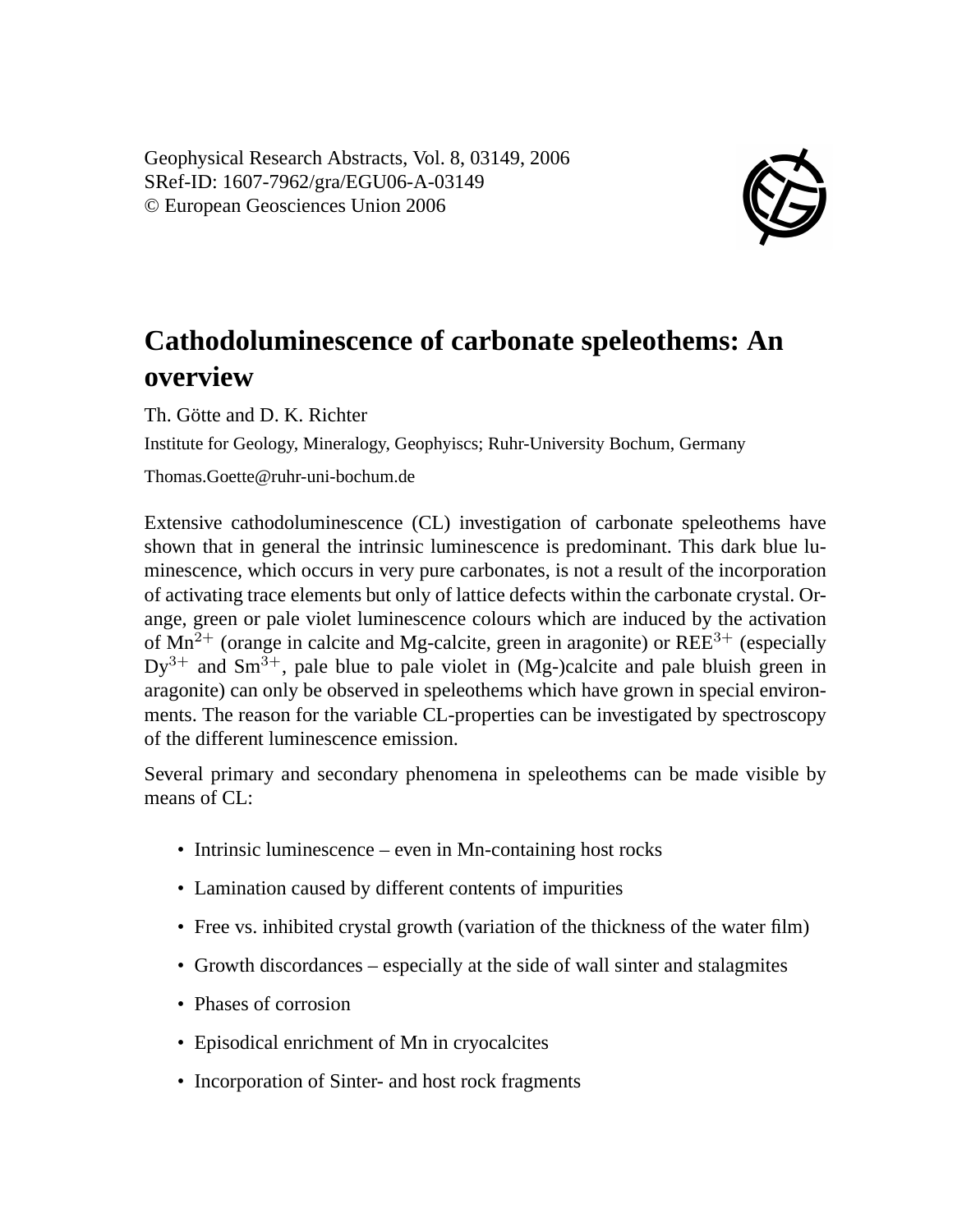Geophysical Research Abstracts, Vol. 8, 03149, 2006 SRef-ID: 1607-7962/gra/EGU06-A-03149 © European Geosciences Union 2006



## **Cathodoluminescence of carbonate speleothems: An overview**

Th. Götte and D. K. Richter

Institute for Geology, Mineralogy, Geophyiscs; Ruhr-University Bochum, Germany

Thomas.Goette@ruhr-uni-bochum.de

Extensive cathodoluminescence (CL) investigation of carbonate speleothems have shown that in general the intrinsic luminescence is predominant. This dark blue luminescence, which occurs in very pure carbonates, is not a result of the incorporation of activating trace elements but only of lattice defects within the carbonate crystal. Orange, green or pale violet luminescence colours which are induced by the activation of  $Mn^{2+}$  (orange in calcite and Mg-calcite, green in aragonite) or REE<sup>3+</sup> (especially  $Dy^{3+}$  and  $Sm^{3+}$ , pale blue to pale violet in (Mg-)calcite and pale bluish green in aragonite) can only be observed in speleothems which have grown in special environments. The reason for the variable CL-properties can be investigated by spectroscopy of the different luminescence emission.

Several primary and secondary phenomena in speleothems can be made visible by means of CL:

- Intrinsic luminescence even in Mn-containing host rocks
- Lamination caused by different contents of impurities
- Free vs. inhibited crystal growth (variation of the thickness of the water film)
- Growth discordances especially at the side of wall sinter and stalagmites
- Phases of corrosion
- Episodical enrichment of Mn in cryocalcites
- Incorporation of Sinter- and host rock fragments